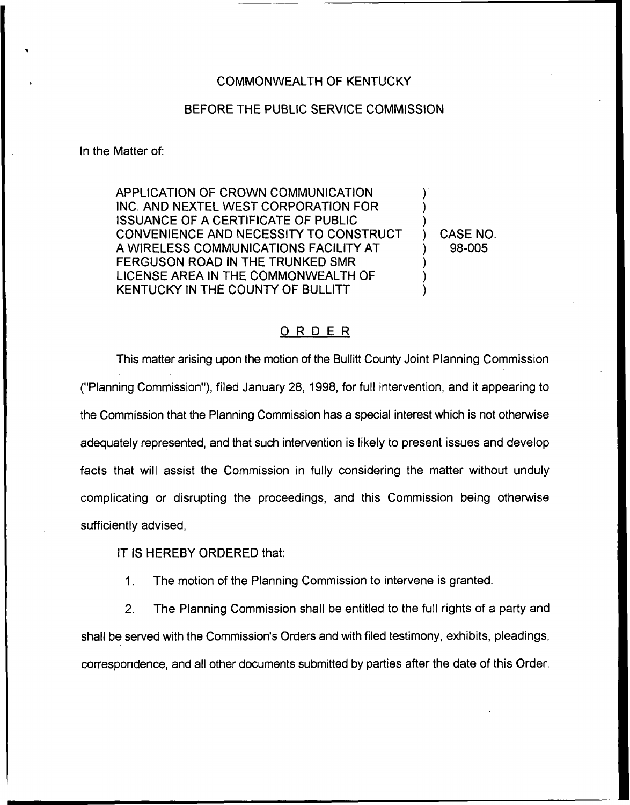## COMMONWEALTH OF KENTUCKY

## BEFORE THE PUBLIC SERVICE COMMISSION

In the Matter of:

APPLICATION OF CROWN COMMUNICATION INC. AND NEXTEL WEST CORPORATION FOR iSSUANCE OF A CERTIFICATE OF PUBLIC CONVENIENCE AND NECESSITY TO CONSTRUCT A WIRELESS COMMUNICATIONS FACILITY AT FERGUSON ROAD IN THE TRUNKED SMR LICENSE AREA IN THE COMMONWEALTH OF KENTUCKY IN THE COUNTY OF BULLITT

) CASE NO. ) 98-005

) ) )

) ) )

## ORDER

This matter arising upon the motion of the Bullitt County Joint Planning Commission ("Planning Commission"), filed January 28, 1998, for full intervention, and it appearing to the Commission that the Planning Commission has a special interest which is not otherwise adequately represented, and that such intervention is likely to present issues and develop facts that will assist the Commission in fully considering the matter without unduly complicating or disrupting the proceedings, and this Commission being otherwise sufficiently advised,

IT IS HEREBY ORDERED that:

 $1<sub>1</sub>$ The motion of the Planning Commission to intervene is granted.

2. The Planning Commission shall be entitled to the full rights of a party and shall be served with the Commission's Orders and with filed testimony, exhibits, pleadings, correspondence, and all other documents submitted by parties after the date of this Order.